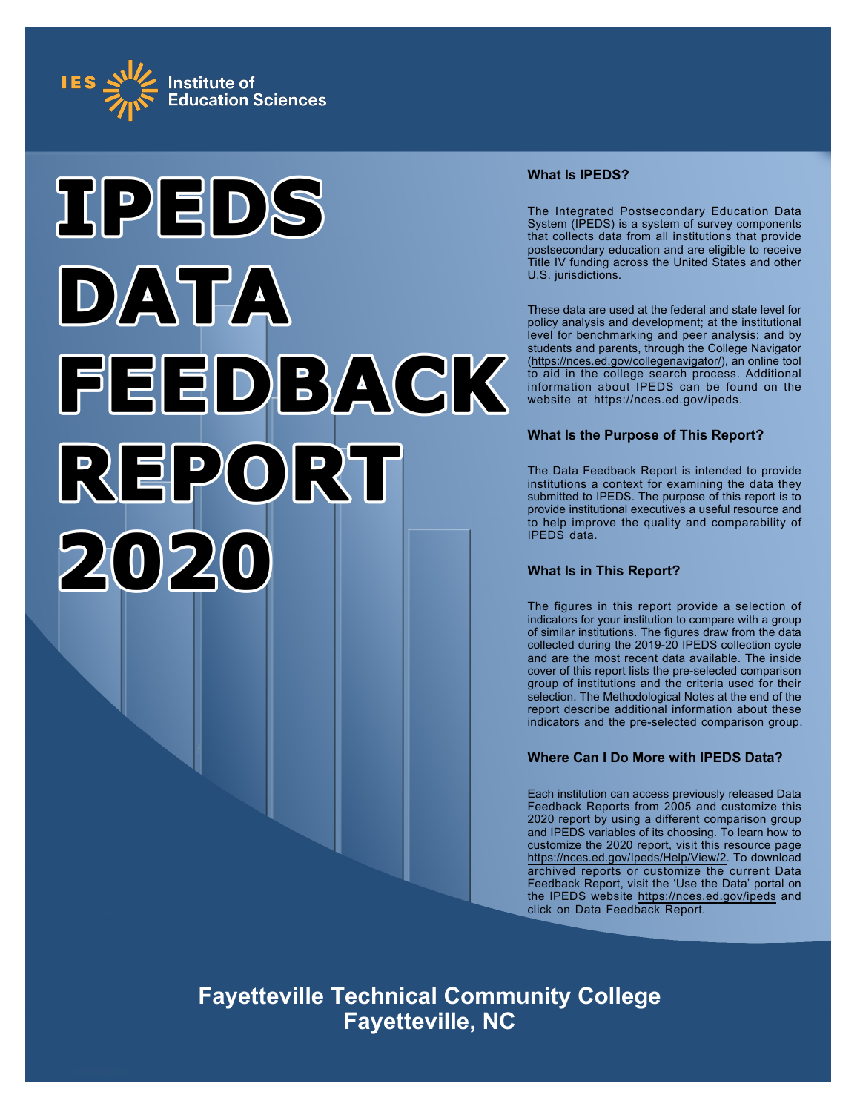



# **What Is IPEDS?**

The Integrated Postsecondary Education Data System (IPEDS) is a system of survey components that collects data from all institutions that provide postsecondary education and are eligible to receive Title IV funding across the United States and other U.S. jurisdictions.

These data are used at the federal and state level for policy analysis and development; at the institutional level for benchmarking and peer analysis; and by students and parents, through the College Navigator ([https://nces.ed.gov/collegenavigator/\)](https://nces.ed.gov/collegenavigator/), an online tool to aid in the college search process. Additional information about IPEDS can be found on the website at <https://nces.ed.gov/ipeds>.

# **What Is the Purpose of This Report?**

The Data Feedback Report is intended to provide institutions a context for examining the data they submitted to IPEDS. The purpose of this report is to provide institutional executives a useful resource and to help improve the quality and comparability of IPEDS data.

# **What Is in This Report?**

The figures in this report provide a selection of indicators for your institution to compare with a group of similar institutions. The figures draw from the data collected during the 2019-20 IPEDS collection cycle and are the most recent data available. The inside cover of this report lists the pre-selected comparison group of institutions and the criteria used for their selection. The Methodological Notes at the end of the report describe additional information about these indicators and the pre-selected comparison group.

# **Where Can I Do More with IPEDS Data?**

Each institution can access previously released Data Feedback Reports from 2005 and customize this 2020 report by using a different comparison group and IPEDS variables of its choosing. To learn how to customize the 2020 report, visit this resource page <https://nces.ed.gov/Ipeds/Help/View/2>. To download archived reports or customize the current Data Feedback Report, visit the 'Use the Data' portal on the IPEDS website <https://nces.ed.gov/ipeds> and click on Data Feedback Report.

**Fayetteville Technical Community College Fayetteville, NC**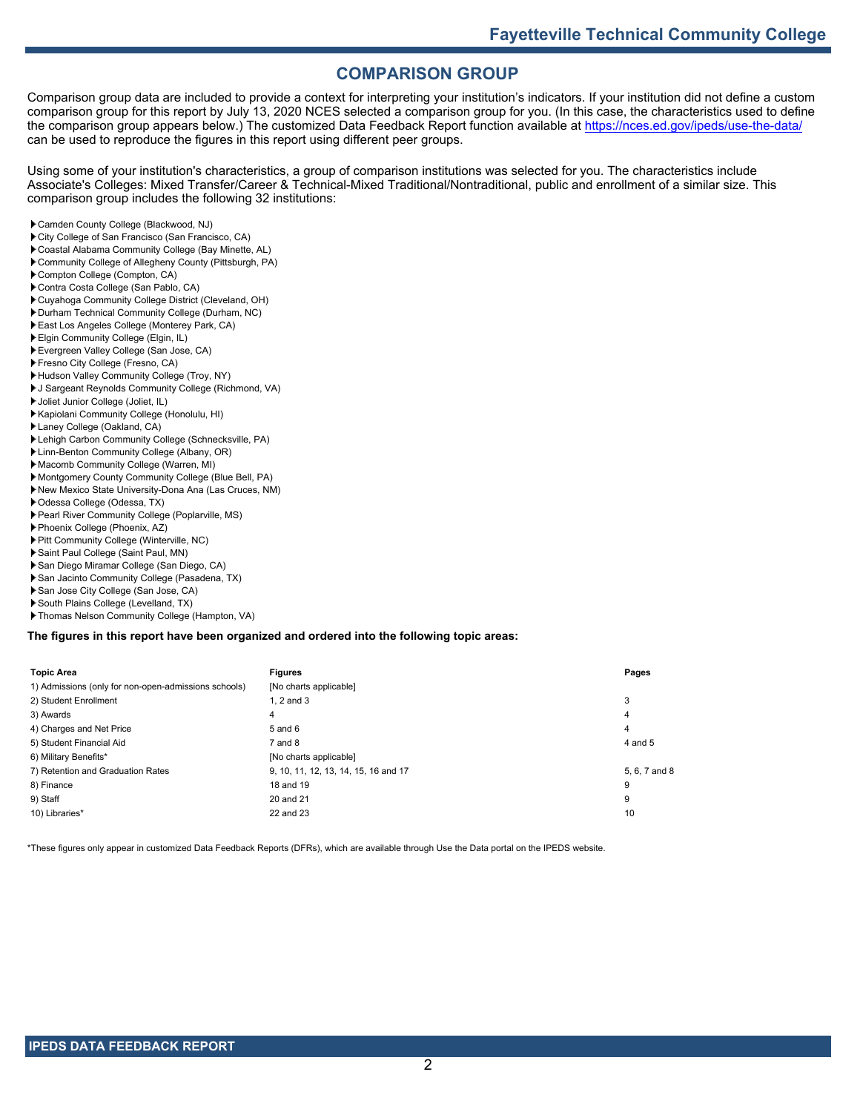# **COMPARISON GROUP**

Comparison group data are included to provide a context for interpreting your institution's indicators. If your institution did not define a custom comparison group for this report by July 13, 2020 NCES selected a comparison group for you. (In this case, the characteristics used to define the comparison group appears below.) The customized Data Feedback Report function available at <https://nces.ed.gov/ipeds/use-the-data/> can be used to reproduce the figures in this report using different peer groups.

Using some of your institution's characteristics, a group of comparison institutions was selected for you. The characteristics include Associate's Colleges: Mixed Transfer/Career & Technical-Mixed Traditional/Nontraditional, public and enrollment of a similar size. This comparison group includes the following 32 institutions:

- Camden County College (Blackwood, NJ)
- City College of San Francisco (San Francisco, CA)
- Coastal Alabama Community College (Bay Minette, AL)
- Community College of Allegheny County (Pittsburgh, PA)
- Compton College (Compton, CA)
- Contra Costa College (San Pablo, CA)
- Cuyahoga Community College District (Cleveland, OH)
- Durham Technical Community College (Durham, NC)
- East Los Angeles College (Monterey Park, CA)
- Elgin Community College (Elgin, IL)
- Evergreen Valley College (San Jose, CA)
- Fresno City College (Fresno, CA) Hudson Valley Community College (Troy, NY)
- J Sargeant Reynolds Community College (Richmond, VA)
- Joliet Junior College (Joliet, IL)
- Kapiolani Community College (Honolulu, HI)
- Laney College (Oakland, CA)
- Lehigh Carbon Community College (Schnecksville, PA)
- Linn-Benton Community College (Albany, OR)
- Macomb Community College (Warren, MI)
- Montgomery County Community College (Blue Bell, PA)
- New Mexico State University-Dona Ana (Las Cruces, NM)
- Odessa College (Odessa, TX)
- Pearl River Community College (Poplarville, MS)
- Phoenix College (Phoenix, AZ)
- Pitt Community College (Winterville, NC)
- Saint Paul College (Saint Paul, MN)
- San Diego Miramar College (San Diego, CA)
- San Jacinto Community College (Pasadena, TX)
- San Jose City College (San Jose, CA)
- South Plains College (Levelland, TX)
- Thomas Nelson Community College (Hampton, VA)

#### **The figures in this report have been organized and ordered into the following topic areas:**

| <b>Topic Area</b>                                    | <b>Figures</b>                       | Pages         |
|------------------------------------------------------|--------------------------------------|---------------|
| 1) Admissions (only for non-open-admissions schools) | [No charts applicable]               |               |
| 2) Student Enrollment                                | 1. $2$ and $3$                       | 3             |
| 3) Awards                                            | 4                                    | 4             |
| 4) Charges and Net Price                             | $5$ and $6$                          | 4             |
| 5) Student Financial Aid                             | 7 and 8                              | 4 and 5       |
| 6) Military Benefits*                                | [No charts applicable]               |               |
| 7) Retention and Graduation Rates                    | 9, 10, 11, 12, 13, 14, 15, 16 and 17 | 5, 6, 7 and 8 |
| 8) Finance                                           | 18 and 19                            | 9             |
| 9) Staff                                             | 20 and 21                            | 9             |
| 10) Libraries*                                       | 22 and 23                            | 10            |

\*These figures only appear in customized Data Feedback Reports (DFRs), which are available through Use the Data portal on the IPEDS website.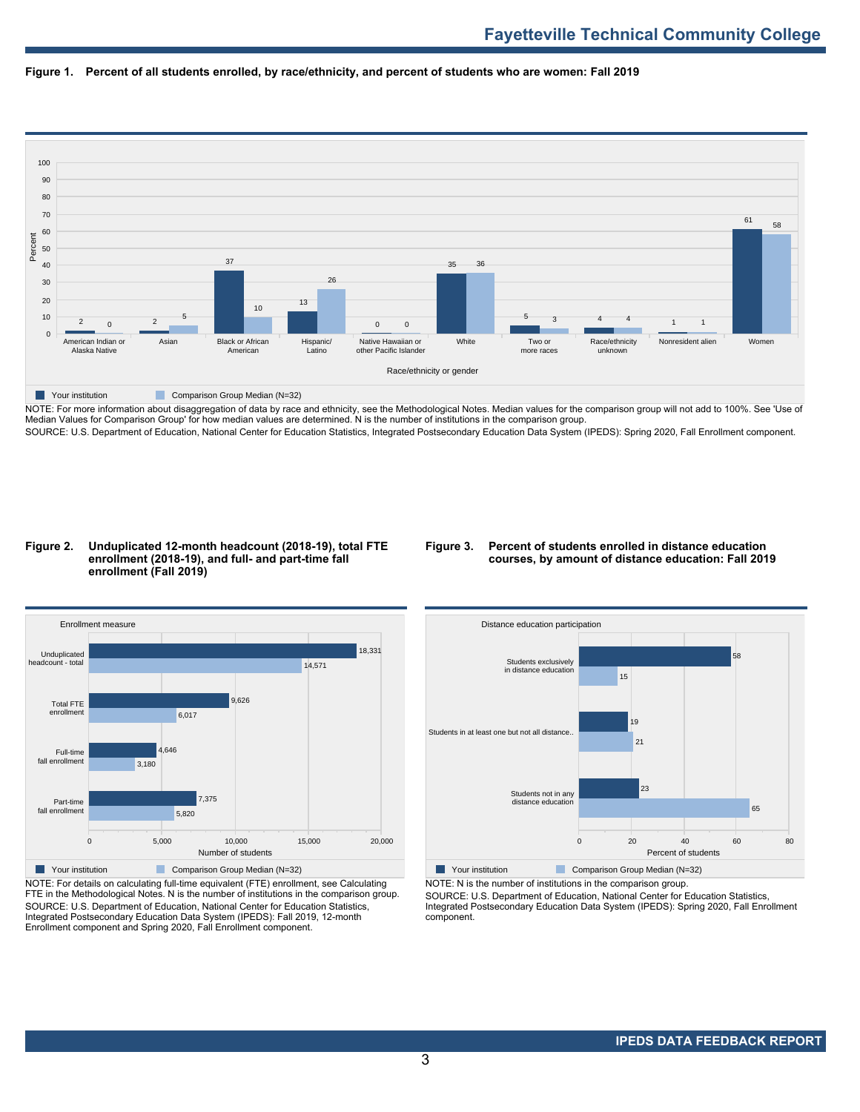



NOTE: For more information about disaggregation of data by race and ethnicity, see the Methodological Notes. Median values for the comparison group will not add to 100%. See 'Use of Median Values for Comparison Group' for how median values are determined. N is the number of institutions in the comparison group. SOURCE: U.S. Department of Education, National Center for Education Statistics, Integrated Postsecondary Education Data System (IPEDS): Spring 2020, Fall Enrollment component.

### **Figure 2. Unduplicated 12-month headcount (2018-19), total FTE enrollment (2018-19), and full- and part-time fall enrollment (Fall 2019)**

## **Figure 3. Percent of students enrolled in distance education courses, by amount of distance education: Fall 2019**



NOTE: For details on calculating full-time equivalent (FTE) enrollment, see Calculating FTE in the Methodological Notes. N is the number of institutions in the comparison group. SOURCE: U.S. Department of Education, National Center for Education Statistics, Integrated Postsecondary Education Data System (IPEDS): Fall 2019, 12-month Enrollment component and Spring 2020, Fall Enrollment component.



NOTE: N is the number of institutions in the comparison group.

SOURCE: U.S. Department of Education, National Center for Education Statistics, Integrated Postsecondary Education Data System (IPEDS): Spring 2020, Fall Enrollment component.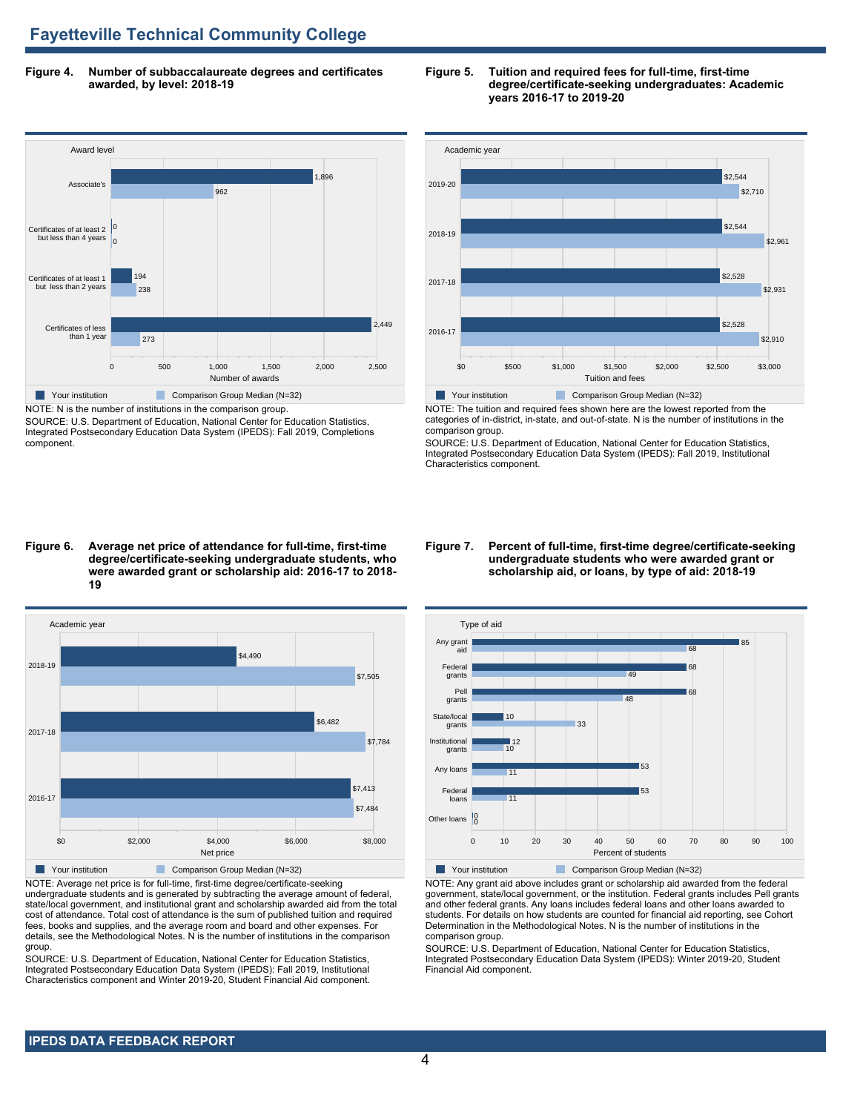**Figure 4. Number of subbaccalaureate degrees and certificates awarded, by level: 2018-19**



SOURCE: U.S. Department of Education, National Center for Education Statistics, Integrated Postsecondary Education Data System (IPEDS): Fall 2019, Completions component.

### **Figure 5. Tuition and required fees for full-time, first-time degree/certificate-seeking undergraduates: Academic years 2016-17 to 2019-20**



NOTE: The tuition and required fees shown here are the lowest reported from the categories of in-district, in-state, and out-of-state. N is the number of institutions in the comparison group.

SOURCE: U.S. Department of Education, National Center for Education Statistics, Integrated Postsecondary Education Data System (IPEDS): Fall 2019, Institutional Characteristics component.

#### **Figure 6. Average net price of attendance for full-time, first-time degree/certificate-seeking undergraduate students, who were awarded grant or scholarship aid: 2016-17 to 2018- 19**



NOTE: Average net price is for full-time, first-time degree/certificate-seeking undergraduate students and is generated by subtracting the average amount of federal, state/local government, and institutional grant and scholarship awarded aid from the total cost of attendance. Total cost of attendance is the sum of published tuition and required fees, books and supplies, and the average room and board and other expenses. For details, see the Methodological Notes. N is the number of institutions in the comparison group.

SOURCE: U.S. Department of Education, National Center for Education Statistics, Integrated Postsecondary Education Data System (IPEDS): Fall 2019, Institutional Characteristics component and Winter 2019-20, Student Financial Aid component.

### **Figure 7. Percent of full-time, first-time degree/certificate-seeking undergraduate students who were awarded grant or scholarship aid, or loans, by type of aid: 2018-19**



NOTE: Any grant aid above includes grant or scholarship aid awarded from the federal government, state/local government, or the institution. Federal grants includes Pell grants and other federal grants. Any loans includes federal loans and other loans awarded to students. For details on how students are counted for financial aid reporting, see Cohort Determination in the Methodological Notes. N is the number of institutions in the comparison group.

SOURCE: U.S. Department of Education, National Center for Education Statistics, Integrated Postsecondary Education Data System (IPEDS): Winter 2019-20, Student Financial Aid component.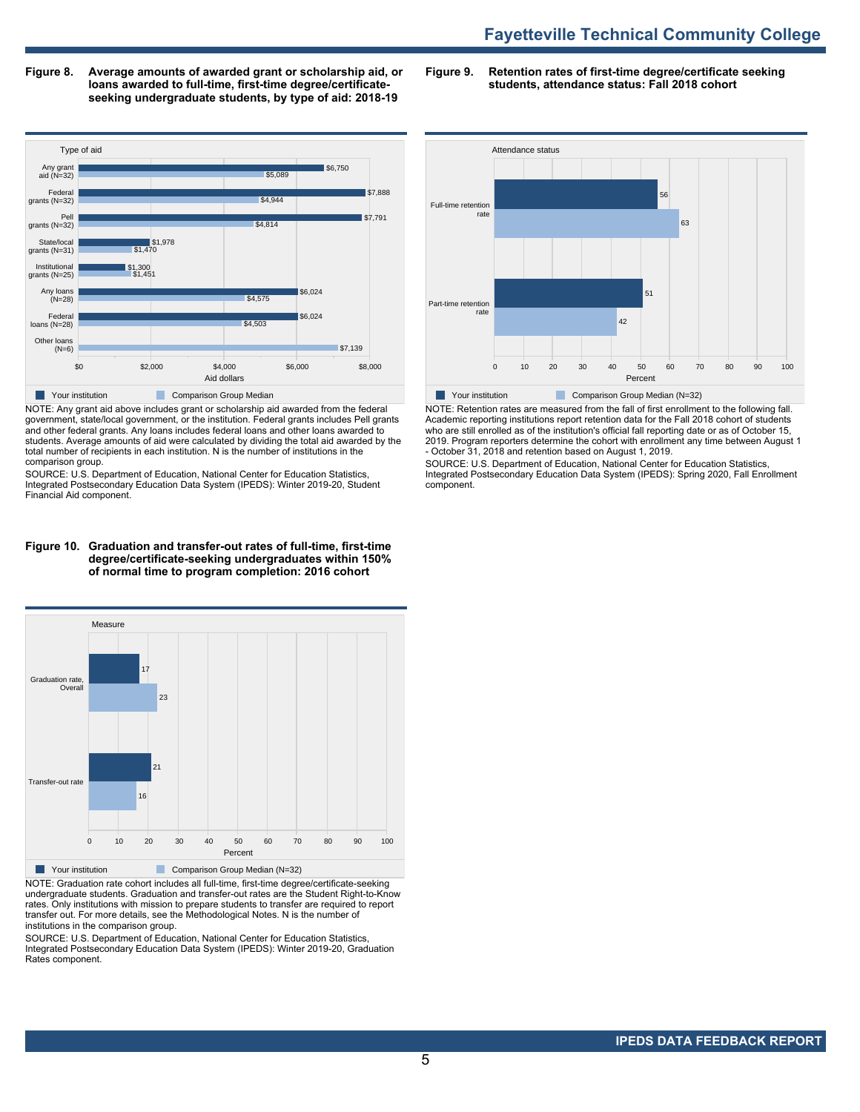# **Fayetteville Technical Community College**

**Figure 8. Average amounts of awarded grant or scholarship aid, or loans awarded to full-time, first-time degree/certificateseeking undergraduate students, by type of aid: 2018-19**

**Figure 9. Retention rates of first-time degree/certificate seeking students, attendance status: Fall 2018 cohort**



NOTE: Any grant aid above includes grant or scholarship aid awarded from the federal government, state/local government, or the institution. Federal grants includes Pell grants and other federal grants. Any loans includes federal loans and other loans awarded to students. Average amounts of aid were calculated by dividing the total aid awarded by the total number of recipients in each institution. N is the number of institutions in the comparison group.

SOURCE: U.S. Department of Education, National Center for Education Statistics, Integrated Postsecondary Education Data System (IPEDS): Winter 2019-20, Student Financial Aid component.

#### **Figure 10. Graduation and transfer-out rates of full-time, first-time degree/certificate-seeking undergraduates within 150% of normal time to program completion: 2016 cohort**



NOTE: Graduation rate cohort includes all full-time, first-time degree/certificate-seeking undergraduate students. Graduation and transfer-out rates are the Student Right-to-Know rates. Only institutions with mission to prepare students to transfer are required to report transfer out. For more details, see the Methodological Notes. N is the number of institutions in the comparison group.

SOURCE: U.S. Department of Education, National Center for Education Statistics, Integrated Postsecondary Education Data System (IPEDS): Winter 2019-20, Graduation Rates component.



NOTE: Retention rates are measured from the fall of first enrollment to the following fall. Academic reporting institutions report retention data for the Fall 2018 cohort of students who are still enrolled as of the institution's official fall reporting date or as of October 15, 2019. Program reporters determine the cohort with enrollment any time between August 1 - October 31, 2018 and retention based on August 1, 2019.

SOURCE: U.S. Department of Education, National Center for Education Statistics, Integrated Postsecondary Education Data System (IPEDS): Spring 2020, Fall Enrollment component.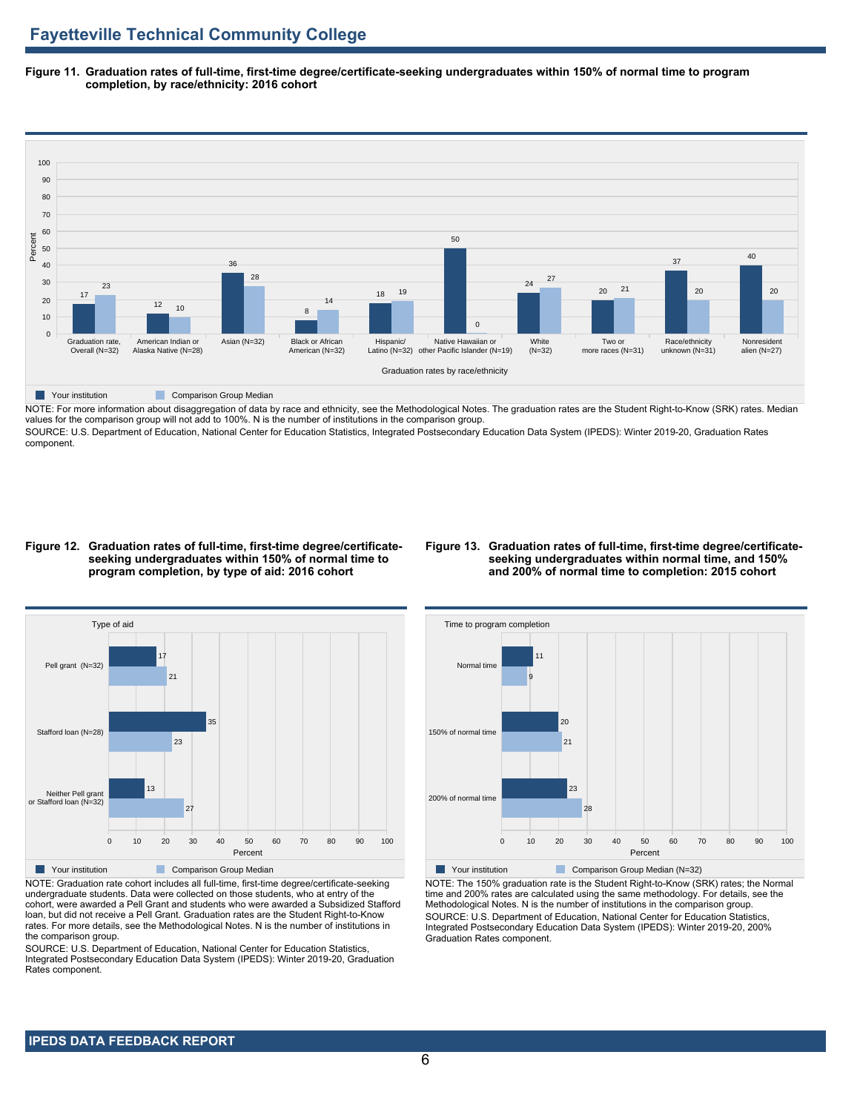**Figure 11. Graduation rates of full-time, first-time degree/certificate-seeking undergraduates within 150% of normal time to program completion, by race/ethnicity: 2016 cohort**



NOTE: For more information about disaggregation of data by race and ethnicity, see the Methodological Notes. The graduation rates are the Student Right-to-Know (SRK) rates. Median values for the comparison group will not add to 100%. N is the number of institutions in the comparison group.

SOURCE: U.S. Department of Education, National Center for Education Statistics, Integrated Postsecondary Education Data System (IPEDS): Winter 2019-20, Graduation Rates component.

### **Figure 12. Graduation rates of full-time, first-time degree/certificateseeking undergraduates within 150% of normal time to program completion, by type of aid: 2016 cohort**

### **Figure 13. Graduation rates of full-time, first-time degree/certificateseeking undergraduates within normal time, and 150% and 200% of normal time to completion: 2015 cohort**



NOTE: Graduation rate cohort includes all full-time, first-time degree/certificate-seeking undergraduate students. Data were collected on those students, who at entry of the cohort, were awarded a Pell Grant and students who were awarded a Subsidized Stafford loan, but did not receive a Pell Grant. Graduation rates are the Student Right-to-Know rates. For more details, see the Methodological Notes. N is the number of institutions in the comparison group.

SOURCE: U.S. Department of Education, National Center for Education Statistics, Integrated Postsecondary Education Data System (IPEDS): Winter 2019-20, Graduation Rates component.



NOTE: The 150% graduation rate is the Student Right-to-Know (SRK) rates; the Normal time and 200% rates are calculated using the same methodology. For details, see the Methodological Notes. N is the number of institutions in the comparison group. SOURCE: U.S. Department of Education, National Center for Education Statistics, Integrated Postsecondary Education Data System (IPEDS): Winter 2019-20, 200% Graduation Rates component.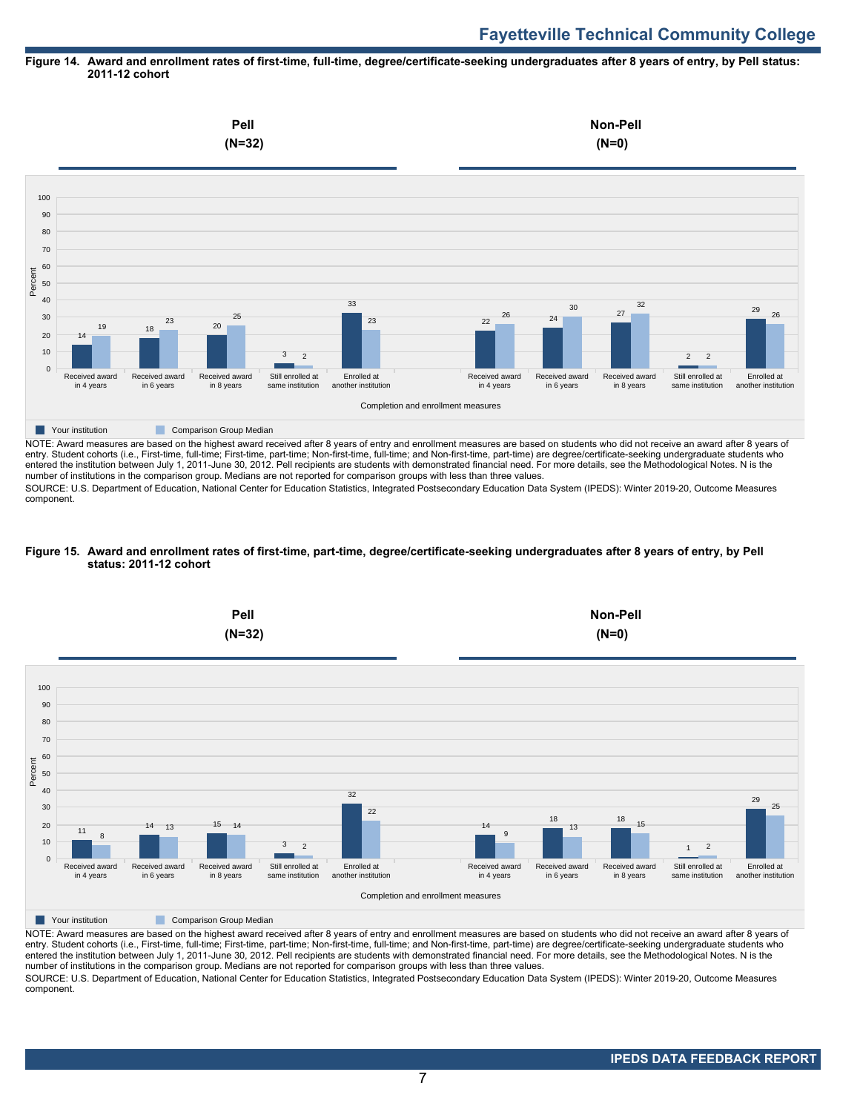# **Fayetteville Technical Community College**

### **Figure 14. Award and enrollment rates of first-time, full-time, degree/certificate-seeking undergraduates after 8 years of entry, by Pell status: 2011-12 cohort**



NOTE: Award measures are based on the highest award received after 8 years of entry and enrollment measures are based on students who did not receive an award after 8 years of entry. Student cohorts (i.e., First-time, full-time; First-time, part-time; Non-first-time, full-time; and Non-first-time, part-time) are degree/certificate-seeking undergraduate students who entered the institution between July 1, 2011-June 30, 2012. Pell recipients are students with demonstrated financial need. For more details, see the Methodological Notes. N is the number of institutions in the comparison group. Medians are not reported for comparison groups with less than three values.

SOURCE: U.S. Department of Education, National Center for Education Statistics, Integrated Postsecondary Education Data System (IPEDS): Winter 2019-20, Outcome Measures component.

### **Figure 15. Award and enrollment rates of first-time, part-time, degree/certificate-seeking undergraduates after 8 years of entry, by Pell status: 2011-12 cohort**



NOTE: Award measures are based on the highest award received after 8 years of entry and enrollment measures are based on students who did not receive an award after 8 years of entry. Student cohorts (i.e., First-time, full-time; First-time, part-time; Non-first-time, full-time; and Non-first-time, part-time) are degree/certificate-seeking undergraduate students who entered the institution between July 1, 2011-June 30, 2012. Pell recipients are students with demonstrated financial need. For more details, see the Methodological Notes. N is the number of institutions in the comparison group. Medians are not reported for comparison groups with less than three values. SOURCE: U.S. Department of Education, National Center for Education Statistics, Integrated Postsecondary Education Data System (IPEDS): Winter 2019-20, Outcome Measures component.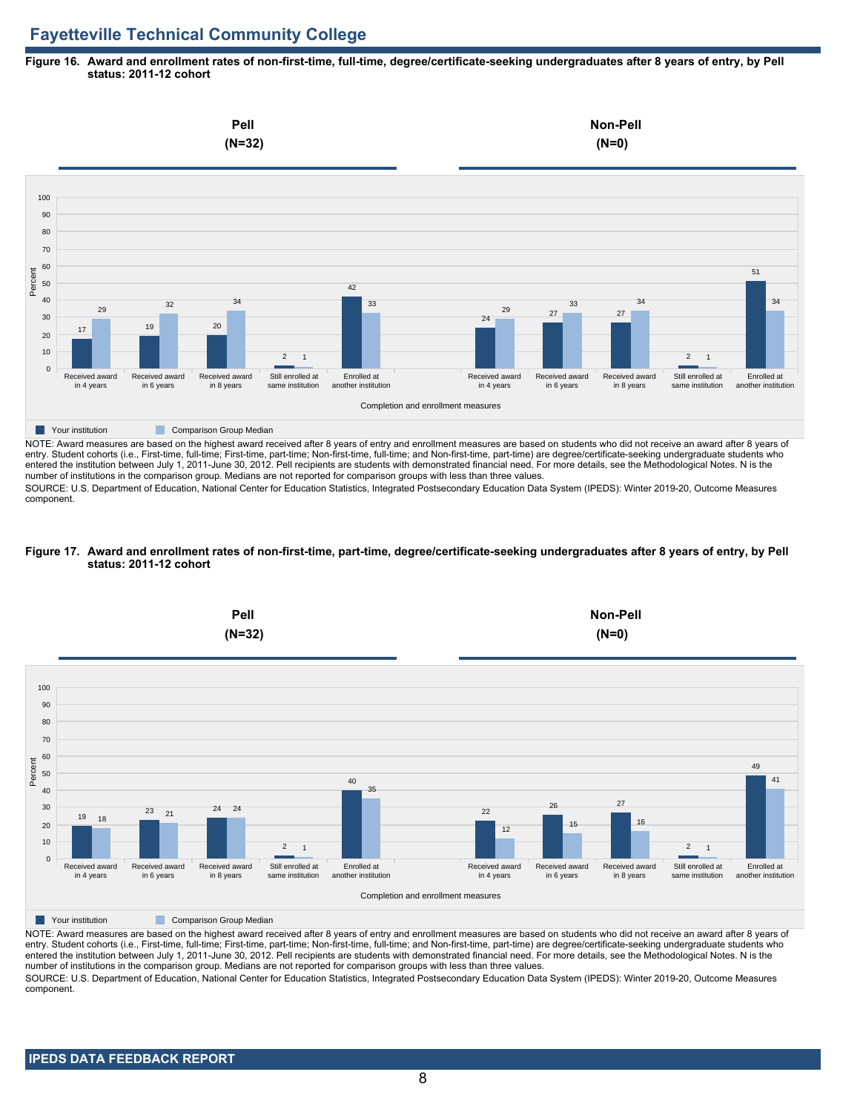# **Fayetteville Technical Community College**

**Figure 16. Award and enrollment rates of non-first-time, full-time, degree/certificate-seeking undergraduates after 8 years of entry, by Pell status: 2011-12 cohort**



NOTE: Award measures are based on the highest award received after 8 years of entry and enrollment measures are based on students who did not receive an award after 8 years of entry. Student cohorts (i.e., First-time, full-time; First-time, part-time; Non-first-time, full-time; and Non-first-time, part-time) are degree/certificate-seeking undergraduate students who entered the institution between July 1, 2011-June 30, 2012. Pell recipients are students with demonstrated financial need. For more details, see the Methodological Notes. N is the number of institutions in the comparison group. Medians are not reported for comparison groups with less than three values.

SOURCE: U.S. Department of Education, National Center for Education Statistics, Integrated Postsecondary Education Data System (IPEDS): Winter 2019-20, Outcome Measures component.

### **Figure 17. Award and enrollment rates of non-first-time, part-time, degree/certificate-seeking undergraduates after 8 years of entry, by Pell status: 2011-12 cohort**



NOTE: Award measures are based on the highest award received after 8 years of entry and enrollment measures are based on students who did not receive an award after 8 years of entry. Student cohorts (i.e., First-time, full-time; First-time, part-time; Non-first-time, full-time; and Non-first-time, part-time) are degree/certificate-seeking undergraduate students who entered the institution between July 1, 2011-June 30, 2012. Pell recipients are students with demonstrated financial need. For more details, see the Methodological Notes. N is the number of institutions in the comparison group. Medians are not reported for comparison groups with less than three values. SOURCE: U.S. Department of Education, National Center for Education Statistics, Integrated Postsecondary Education Data System (IPEDS): Winter 2019-20, Outcome Measures component.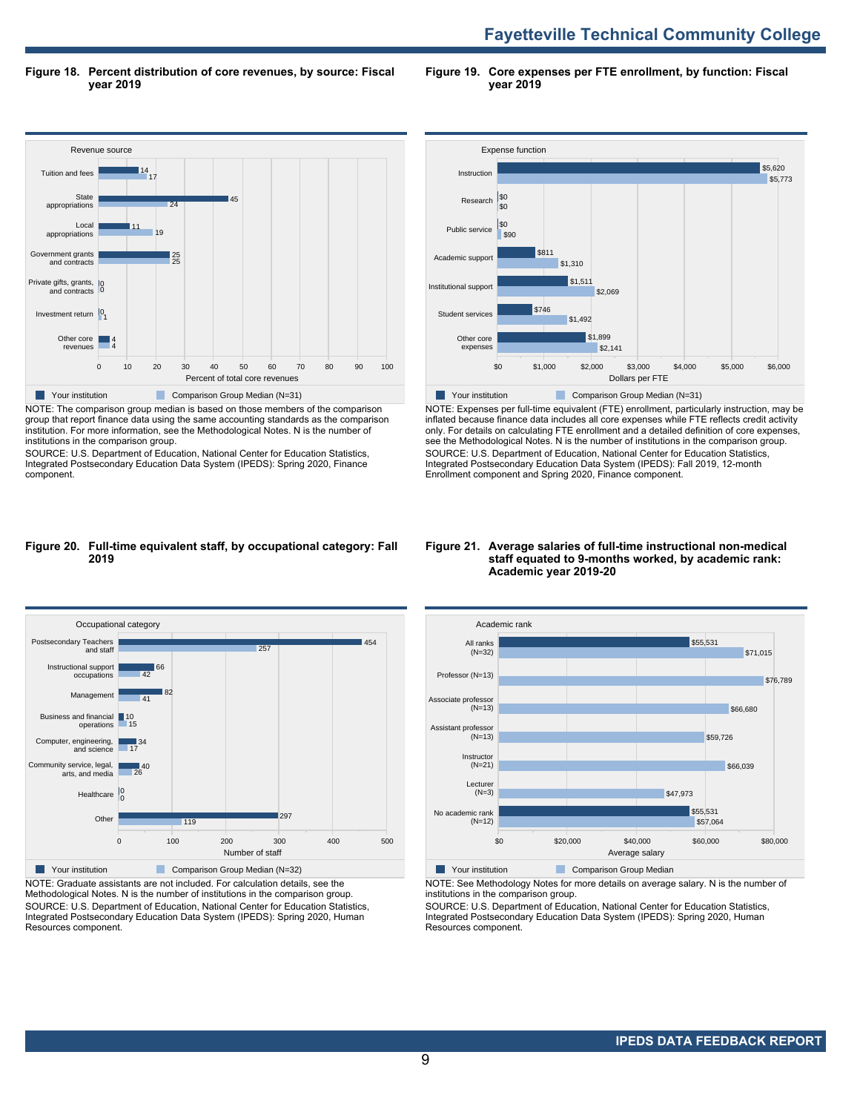**Fayetteville Technical Community College**

**Figure 18. Percent distribution of core revenues, by source: Fiscal year 2019**

**Figure 19. Core expenses per FTE enrollment, by function: Fiscal year 2019**



NOTE: The comparison group median is based on those members of the comparison group that report finance data using the same accounting standards as the comparison institution. For more information, see the Methodological Notes. N is the number of institutions in the comparison group.

SOURCE: U.S. Department of Education, National Center for Education Statistics, Integrated Postsecondary Education Data System (IPEDS): Spring 2020, Finance component.



NOTE: Expenses per full-time equivalent (FTE) enrollment, particularly instruction, may be inflated because finance data includes all core expenses while FTE reflects credit activity only. For details on calculating FTE enrollment and a detailed definition of core expenses, see the Methodological Notes. N is the number of institutions in the comparison group. SOURCE: U.S. Department of Education, National Center for Education Statistics, Integrated Postsecondary Education Data System (IPEDS): Fall 2019, 12-month Enrollment component and Spring 2020, Finance component.

### **Figure 20. Full-time equivalent staff, by occupational category: Fall 2019**



NOTE: Graduate assistants are not included. For calculation details, see the Methodological Notes. N is the number of institutions in the comparison group. SOURCE: U.S. Department of Education, National Center for Education Statistics, Integrated Postsecondary Education Data System (IPEDS): Spring 2020, Human Resources component.

### **Figure 21. Average salaries of full-time instructional non-medical staff equated to 9-months worked, by academic rank: Academic year 2019-20**



NOTE: See Methodology Notes for more details on average salary. N is the number of institutions in the comparison group.

SOURCE: U.S. Department of Education, National Center for Education Statistics, Integrated Postsecondary Education Data System (IPEDS): Spring 2020, Human Resources component.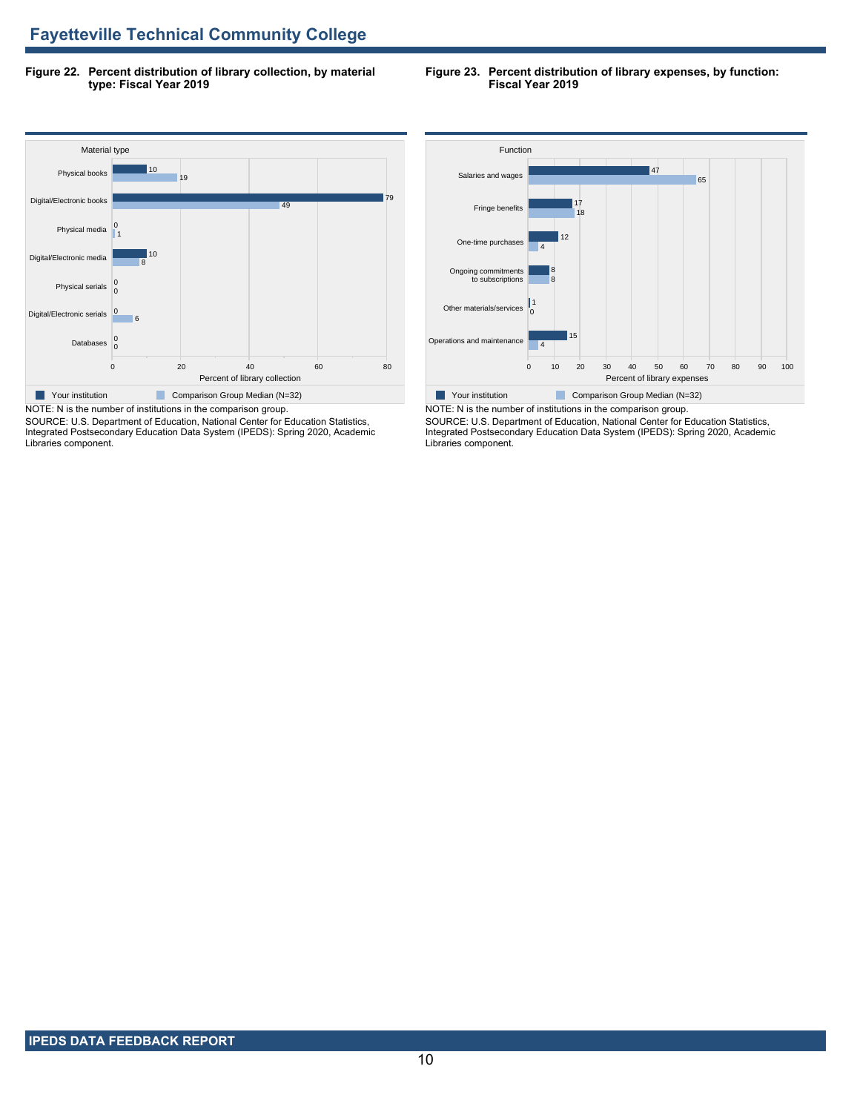**Figure 22. Percent distribution of library collection, by material type: Fiscal Year 2019**

### **Figure 23. Percent distribution of library expenses, by function: Fiscal Year 2019**



SOURCE: U.S. Department of Education, National Center for Education Statistics, Integrated Postsecondary Education Data System (IPEDS): Spring 2020, Academic Libraries component.



NOTE: N is the number of institutions in the comparison group. SOURCE: U.S. Department of Education, National Center for Education Statistics, Integrated Postsecondary Education Data System (IPEDS): Spring 2020, Academic Libraries component.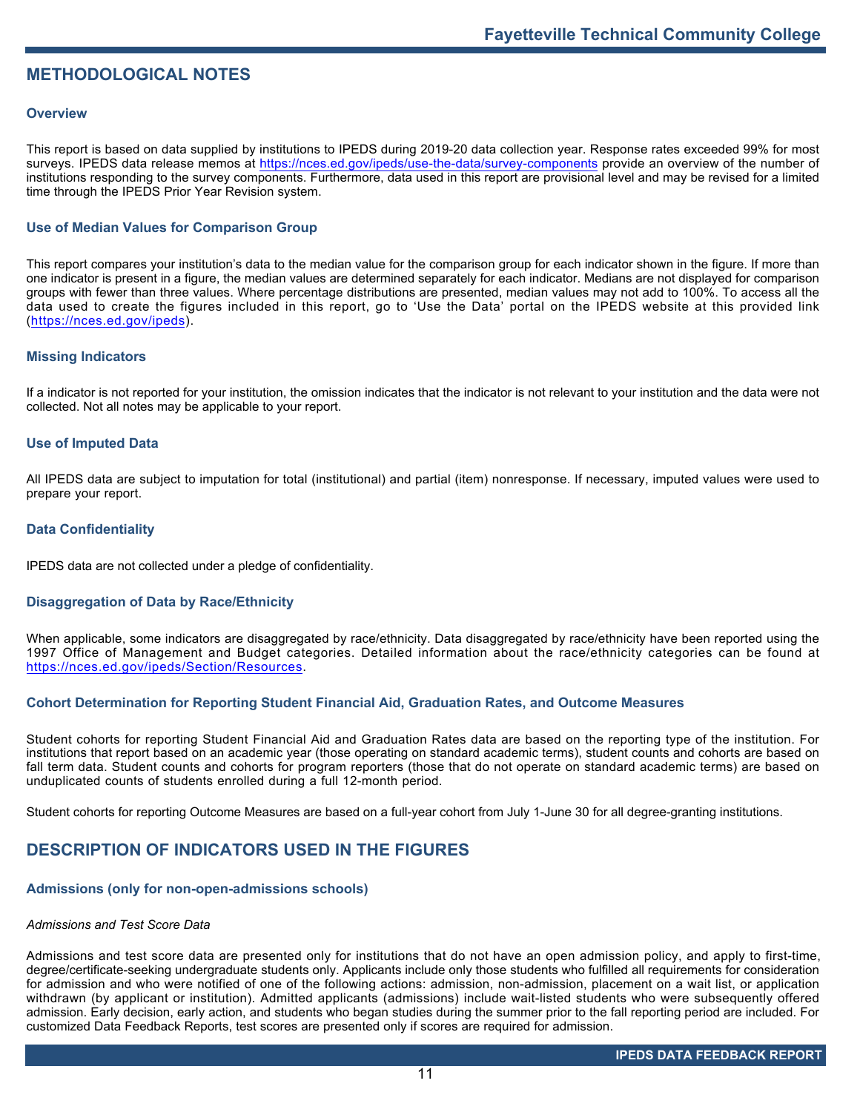# **METHODOLOGICAL NOTES**

## **Overview**

This report is based on data supplied by institutions to IPEDS during 2019-20 data collection year. Response rates exceeded 99% for most surveys. IPEDS data release memos at <https://nces.ed.gov/ipeds/use-the-data/survey-components> provide an overview of the number of institutions responding to the survey components. Furthermore, data used in this report are provisional level and may be revised for a limited time through the IPEDS Prior Year Revision system.

## **Use of Median Values for Comparison Group**

This report compares your institution's data to the median value for the comparison group for each indicator shown in the figure. If more than one indicator is present in a figure, the median values are determined separately for each indicator. Medians are not displayed for comparison groups with fewer than three values. Where percentage distributions are presented, median values may not add to 100%. To access all the data used to create the figures included in this report, go to 'Use the Data' portal on the IPEDS website at this provided link (<https://nces.ed.gov/ipeds>).

## **Missing Indicators**

If a indicator is not reported for your institution, the omission indicates that the indicator is not relevant to your institution and the data were not collected. Not all notes may be applicable to your report.

### **Use of Imputed Data**

All IPEDS data are subject to imputation for total (institutional) and partial (item) nonresponse. If necessary, imputed values were used to prepare your report.

### **Data Confidentiality**

IPEDS data are not collected under a pledge of confidentiality.

### **Disaggregation of Data by Race/Ethnicity**

When applicable, some indicators are disaggregated by race/ethnicity. Data disaggregated by race/ethnicity have been reported using the 1997 Office of Management and Budget categories. Detailed information about the race/ethnicity categories can be found at <https://nces.ed.gov/ipeds/Section/Resources>.

# **Cohort Determination for Reporting Student Financial Aid, Graduation Rates, and Outcome Measures**

Student cohorts for reporting Student Financial Aid and Graduation Rates data are based on the reporting type of the institution. For institutions that report based on an academic year (those operating on standard academic terms), student counts and cohorts are based on fall term data. Student counts and cohorts for program reporters (those that do not operate on standard academic terms) are based on unduplicated counts of students enrolled during a full 12-month period.

Student cohorts for reporting Outcome Measures are based on a full-year cohort from July 1-June 30 for all degree-granting institutions.

# **DESCRIPTION OF INDICATORS USED IN THE FIGURES**

### **Admissions (only for non-open-admissions schools)**

### *Admissions and Test Score Data*

Admissions and test score data are presented only for institutions that do not have an open admission policy, and apply to first-time, degree/certificate-seeking undergraduate students only. Applicants include only those students who fulfilled all requirements for consideration for admission and who were notified of one of the following actions: admission, non-admission, placement on a wait list, or application withdrawn (by applicant or institution). Admitted applicants (admissions) include wait-listed students who were subsequently offered admission. Early decision, early action, and students who began studies during the summer prior to the fall reporting period are included. For customized Data Feedback Reports, test scores are presented only if scores are required for admission.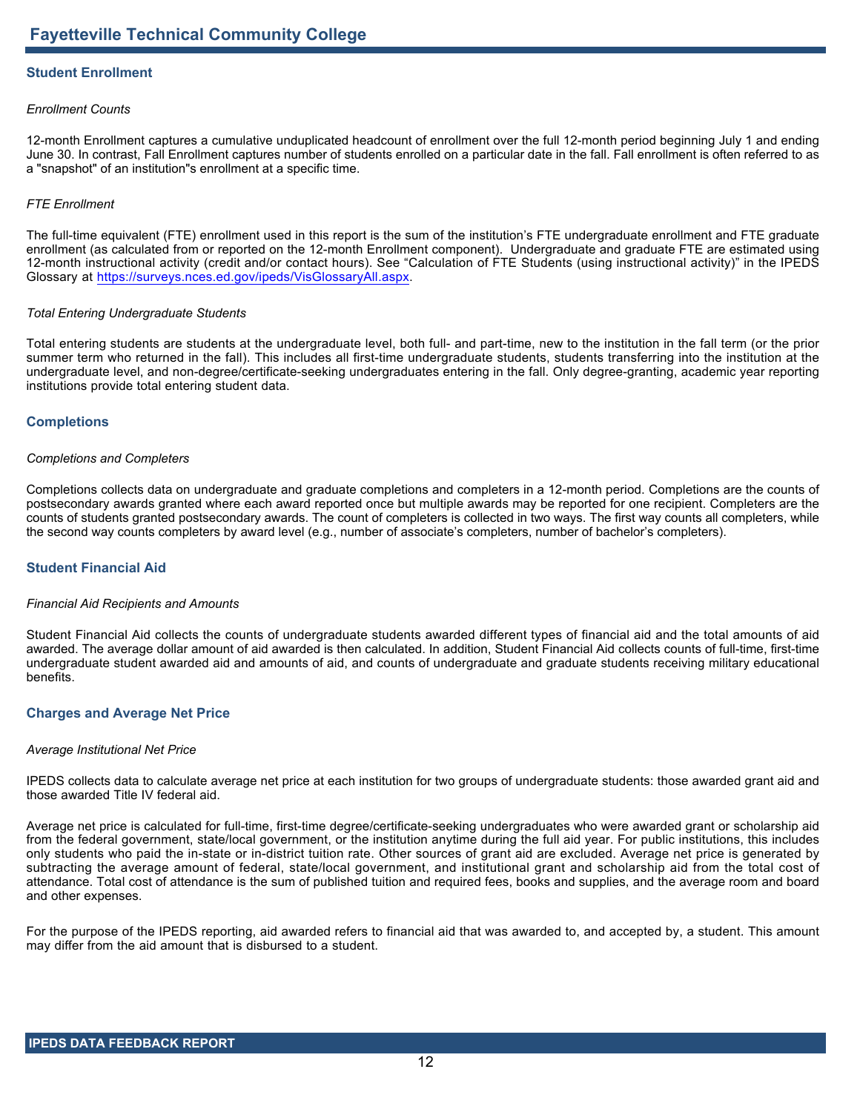# **Student Enrollment**

### *Enrollment Counts*

12-month Enrollment captures a cumulative unduplicated headcount of enrollment over the full 12-month period beginning July 1 and ending June 30. In contrast, Fall Enrollment captures number of students enrolled on a particular date in the fall. Fall enrollment is often referred to as a "snapshot" of an institution"s enrollment at a specific time.

## *FTE Enrollment*

The full-time equivalent (FTE) enrollment used in this report is the sum of the institution's FTE undergraduate enrollment and FTE graduate enrollment (as calculated from or reported on the 12-month Enrollment component). Undergraduate and graduate FTE are estimated using 12-month instructional activity (credit and/or contact hours). See "Calculation of FTE Students (using instructional activity)" in the IPEDS Glossary at <https://surveys.nces.ed.gov/ipeds/VisGlossaryAll.aspx>.

### *Total Entering Undergraduate Students*

Total entering students are students at the undergraduate level, both full- and part-time, new to the institution in the fall term (or the prior summer term who returned in the fall). This includes all first-time undergraduate students, students transferring into the institution at the undergraduate level, and non-degree/certificate-seeking undergraduates entering in the fall. Only degree-granting, academic year reporting institutions provide total entering student data.

## **Completions**

### *Completions and Completers*

Completions collects data on undergraduate and graduate completions and completers in a 12-month period. Completions are the counts of postsecondary awards granted where each award reported once but multiple awards may be reported for one recipient. Completers are the counts of students granted postsecondary awards. The count of completers is collected in two ways. The first way counts all completers, while the second way counts completers by award level (e.g., number of associate's completers, number of bachelor's completers).

# **Student Financial Aid**

### *Financial Aid Recipients and Amounts*

Student Financial Aid collects the counts of undergraduate students awarded different types of financial aid and the total amounts of aid awarded. The average dollar amount of aid awarded is then calculated. In addition, Student Financial Aid collects counts of full-time, first-time undergraduate student awarded aid and amounts of aid, and counts of undergraduate and graduate students receiving military educational benefits.

### **Charges and Average Net Price**

### *Average Institutional Net Price*

IPEDS collects data to calculate average net price at each institution for two groups of undergraduate students: those awarded grant aid and those awarded Title IV federal aid.

Average net price is calculated for full-time, first-time degree/certificate-seeking undergraduates who were awarded grant or scholarship aid from the federal government, state/local government, or the institution anytime during the full aid year. For public institutions, this includes only students who paid the in-state or in-district tuition rate. Other sources of grant aid are excluded. Average net price is generated by subtracting the average amount of federal, state/local government, and institutional grant and scholarship aid from the total cost of attendance. Total cost of attendance is the sum of published tuition and required fees, books and supplies, and the average room and board and other expenses.

For the purpose of the IPEDS reporting, aid awarded refers to financial aid that was awarded to, and accepted by, a student. This amount may differ from the aid amount that is disbursed to a student.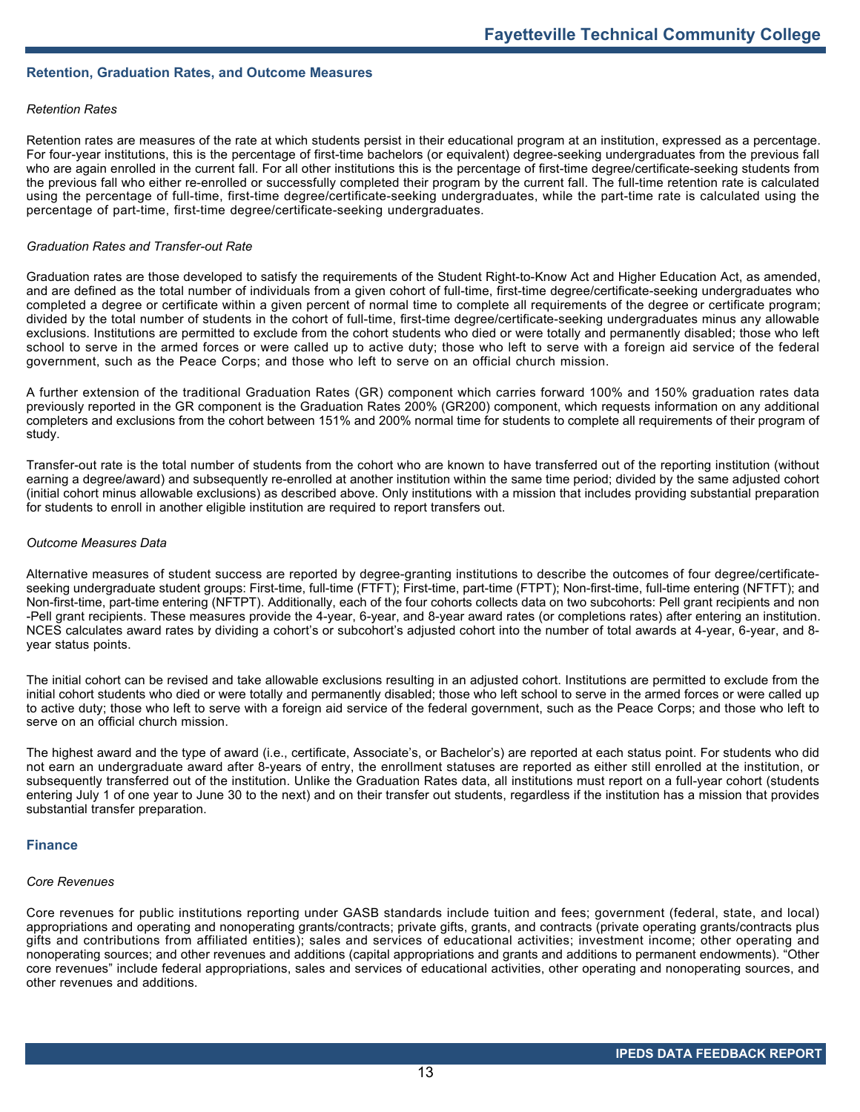## **Retention, Graduation Rates, and Outcome Measures**

### *Retention Rates*

Retention rates are measures of the rate at which students persist in their educational program at an institution, expressed as a percentage. For four-year institutions, this is the percentage of first-time bachelors (or equivalent) degree-seeking undergraduates from the previous fall who are again enrolled in the current fall. For all other institutions this is the percentage of first-time degree/certificate-seeking students from the previous fall who either re-enrolled or successfully completed their program by the current fall. The full-time retention rate is calculated using the percentage of full-time, first-time degree/certificate-seeking undergraduates, while the part-time rate is calculated using the percentage of part-time, first-time degree/certificate-seeking undergraduates.

### *Graduation Rates and Transfer-out Rate*

Graduation rates are those developed to satisfy the requirements of the Student Right-to-Know Act and Higher Education Act, as amended, and are defined as the total number of individuals from a given cohort of full-time, first-time degree/certificate-seeking undergraduates who completed a degree or certificate within a given percent of normal time to complete all requirements of the degree or certificate program; divided by the total number of students in the cohort of full-time, first-time degree/certificate-seeking undergraduates minus any allowable exclusions. Institutions are permitted to exclude from the cohort students who died or were totally and permanently disabled; those who left school to serve in the armed forces or were called up to active duty; those who left to serve with a foreign aid service of the federal government, such as the Peace Corps; and those who left to serve on an official church mission.

A further extension of the traditional Graduation Rates (GR) component which carries forward 100% and 150% graduation rates data previously reported in the GR component is the Graduation Rates 200% (GR200) component, which requests information on any additional completers and exclusions from the cohort between 151% and 200% normal time for students to complete all requirements of their program of study.

Transfer-out rate is the total number of students from the cohort who are known to have transferred out of the reporting institution (without earning a degree/award) and subsequently re-enrolled at another institution within the same time period; divided by the same adjusted cohort (initial cohort minus allowable exclusions) as described above. Only institutions with a mission that includes providing substantial preparation for students to enroll in another eligible institution are required to report transfers out.

### *Outcome Measures Data*

Alternative measures of student success are reported by degree-granting institutions to describe the outcomes of four degree/certificateseeking undergraduate student groups: First-time, full-time (FTFT); First-time, part-time (FTPT); Non-first-time, full-time entering (NFTFT); and Non-first-time, part-time entering (NFTPT). Additionally, each of the four cohorts collects data on two subcohorts: Pell grant recipients and non -Pell grant recipients. These measures provide the 4-year, 6-year, and 8-year award rates (or completions rates) after entering an institution. NCES calculates award rates by dividing a cohort's or subcohort's adjusted cohort into the number of total awards at 4-year, 6-year, and 8 year status points.

The initial cohort can be revised and take allowable exclusions resulting in an adjusted cohort. Institutions are permitted to exclude from the initial cohort students who died or were totally and permanently disabled; those who left school to serve in the armed forces or were called up to active duty; those who left to serve with a foreign aid service of the federal government, such as the Peace Corps; and those who left to serve on an official church mission.

The highest award and the type of award (i.e., certificate, Associate's, or Bachelor's) are reported at each status point. For students who did not earn an undergraduate award after 8-years of entry, the enrollment statuses are reported as either still enrolled at the institution, or subsequently transferred out of the institution. Unlike the Graduation Rates data, all institutions must report on a full-year cohort (students entering July 1 of one year to June 30 to the next) and on their transfer out students, regardless if the institution has a mission that provides substantial transfer preparation.

#### **Finance**

### *Core Revenues*

Core revenues for public institutions reporting under GASB standards include tuition and fees; government (federal, state, and local) appropriations and operating and nonoperating grants/contracts; private gifts, grants, and contracts (private operating grants/contracts plus gifts and contributions from affiliated entities); sales and services of educational activities; investment income; other operating and nonoperating sources; and other revenues and additions (capital appropriations and grants and additions to permanent endowments). "Other core revenues" include federal appropriations, sales and services of educational activities, other operating and nonoperating sources, and other revenues and additions.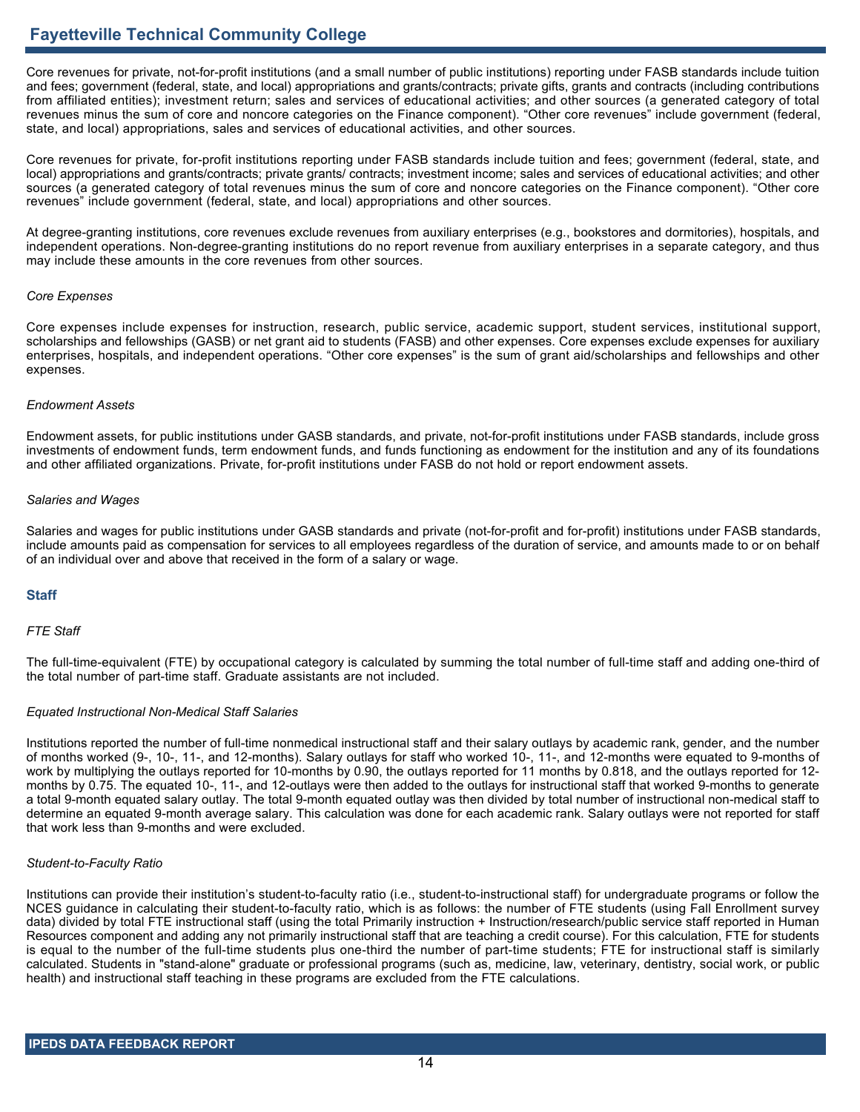Core revenues for private, not-for-profit institutions (and a small number of public institutions) reporting under FASB standards include tuition and fees; government (federal, state, and local) appropriations and grants/contracts; private gifts, grants and contracts (including contributions from affiliated entities); investment return; sales and services of educational activities; and other sources (a generated category of total revenues minus the sum of core and noncore categories on the Finance component). "Other core revenues" include government (federal, state, and local) appropriations, sales and services of educational activities, and other sources.

Core revenues for private, for-profit institutions reporting under FASB standards include tuition and fees; government (federal, state, and local) appropriations and grants/contracts; private grants/ contracts; investment income; sales and services of educational activities; and other sources (a generated category of total revenues minus the sum of core and noncore categories on the Finance component). "Other core revenues" include government (federal, state, and local) appropriations and other sources.

At degree-granting institutions, core revenues exclude revenues from auxiliary enterprises (e.g., bookstores and dormitories), hospitals, and independent operations. Non-degree-granting institutions do no report revenue from auxiliary enterprises in a separate category, and thus may include these amounts in the core revenues from other sources.

## *Core Expenses*

Core expenses include expenses for instruction, research, public service, academic support, student services, institutional support, scholarships and fellowships (GASB) or net grant aid to students (FASB) and other expenses. Core expenses exclude expenses for auxiliary enterprises, hospitals, and independent operations. "Other core expenses" is the sum of grant aid/scholarships and fellowships and other expenses.

## *Endowment Assets*

Endowment assets, for public institutions under GASB standards, and private, not-for-profit institutions under FASB standards, include gross investments of endowment funds, term endowment funds, and funds functioning as endowment for the institution and any of its foundations and other affiliated organizations. Private, for-profit institutions under FASB do not hold or report endowment assets.

## *Salaries and Wages*

Salaries and wages for public institutions under GASB standards and private (not-for-profit and for-profit) institutions under FASB standards, include amounts paid as compensation for services to all employees regardless of the duration of service, and amounts made to or on behalf of an individual over and above that received in the form of a salary or wage.

# **Staff**

### *FTE Staff*

The full-time-equivalent (FTE) by occupational category is calculated by summing the total number of full-time staff and adding one-third of the total number of part-time staff. Graduate assistants are not included.

### *Equated Instructional Non-Medical Staff Salaries*

Institutions reported the number of full-time nonmedical instructional staff and their salary outlays by academic rank, gender, and the number of months worked (9-, 10-, 11-, and 12-months). Salary outlays for staff who worked 10-, 11-, and 12-months were equated to 9-months of work by multiplying the outlays reported for 10-months by 0.90, the outlays reported for 11 months by 0.818, and the outlays reported for 12 months by 0.75. The equated 10-, 11-, and 12-outlays were then added to the outlays for instructional staff that worked 9-months to generate a total 9-month equated salary outlay. The total 9-month equated outlay was then divided by total number of instructional non-medical staff to determine an equated 9-month average salary. This calculation was done for each academic rank. Salary outlays were not reported for staff that work less than 9-months and were excluded.

### *Student-to-Faculty Ratio*

Institutions can provide their institution's student-to-faculty ratio (i.e., student-to-instructional staff) for undergraduate programs or follow the NCES guidance in calculating their student-to-faculty ratio, which is as follows: the number of FTE students (using Fall Enrollment survey data) divided by total FTE instructional staff (using the total Primarily instruction + Instruction/research/public service staff reported in Human Resources component and adding any not primarily instructional staff that are teaching a credit course). For this calculation, FTE for students is equal to the number of the full-time students plus one-third the number of part-time students; FTE for instructional staff is similarly calculated. Students in "stand-alone" graduate or professional programs (such as, medicine, law, veterinary, dentistry, social work, or public health) and instructional staff teaching in these programs are excluded from the FTE calculations.